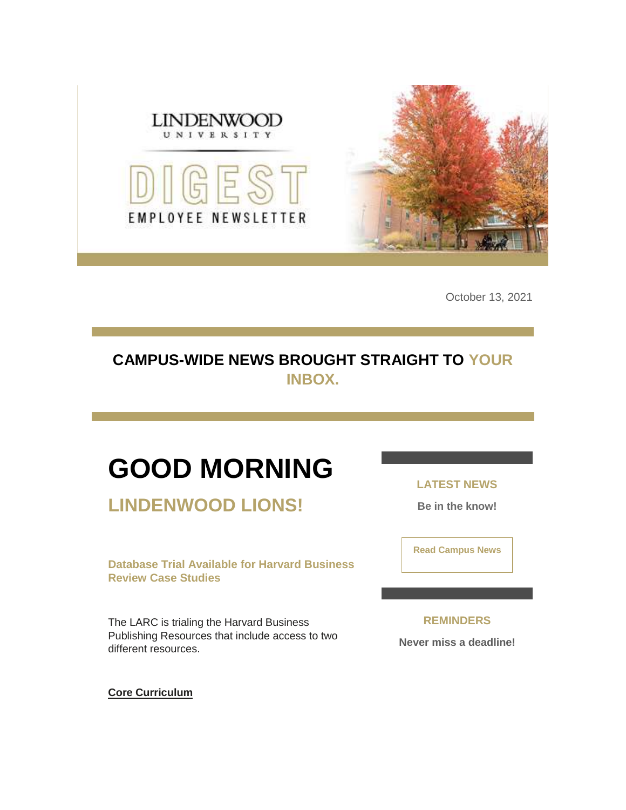

October 13, 2021

## **CAMPUS-WIDE NEWS BROUGHT STRAIGHT TO YOUR INBOX.**

# **GOOD MORNING**

**LINDENWOOD LIONS!**

**Database Trial Available for Harvard Business Review Case Studies**

The LARC is trialing the Harvard Business Publishing Resources that include access to two different resources.

**LATEST NEWS**

**Be in the know!** 

**[Read Campus News](https://nam04.safelinks.protection.outlook.com/?url=https%3A%2F%2Fr20.rs6.net%2Ftn.jsp%3Ff%3D0015Hz35s29no5pbS_9ak6oXEAJxwelnHkKEAAEyVAz1m13oanuJCsBq_TjcDGK52ZkVngAsvIVW9CdafB2X3XWLw7ll8Og6AH1m85oTKfQABM8L-2MgS9XOesOQon3IFdf-vbqX3KZFsLckuMCU76fArP1QqxfP8FHxSJ88HXcWq8%3D%26c%3Dlkko3083hT-gixf9FVrnYg97Sjh1UQBB5dmYmh21Ip3I8S_Gjsqj-g%3D%3D%26ch%3D4Tvumugcj6yGcvn6_QMltxCPEajvsTrIcvv5vJHHdC26cpMX7ydWAg%3D%3D&data=04%7C01%7Cphuffman%40lindenwood.edu%7C5cf1966306824334c68308d98e55fd3a%7C3d72f08e540a4c68905d9e69c4d9c61e%7C1%7C0%7C637697322246288552%7CUnknown%7CTWFpbGZsb3d8eyJWIjoiMC4wLjAwMDAiLCJQIjoiV2luMzIiLCJBTiI6Ik1haWwiLCJXVCI6Mn0%3D%7C1000&sdata=L8eY2RZXmyuegD5jCpz0BanuilIdiBV557n58ZFKaLk%3D&reserved=0)**

**REMINDERS Never miss a deadline!**

**[Core Curriculum](https://nam04.safelinks.protection.outlook.com/?url=https%3A%2F%2Fr20.rs6.net%2Ftn.jsp%3Ff%3D0015Hz35s29no5pbS_9ak6oXEAJxwelnHkKEAAEyVAz1m13oanuJCsBq0tbbA-wSqf9jprUZADRXYMksEjxS2yZAHpLcpr0YkcYSURUoSkf2Sm--Ar8JZGNpzD8vK8rinF8tAOk6Wk-jYk37h4mDXPSY0bqMGB9obz1IRrFy-e23yYZow8-dFv38WWekLqe7RxmQtiSTH4Xei3Lq9tVM1XjXZgVdPlRi_u8pyYp_4CW_rriuHl_uOfeHjTLb6dnzPQ8JhMN_VZhqzLw4dC-uGi2KkC3d-Sj4sK3uEjNhBHWgREMuSb2UEk2fw%3D%3D%26c%3Dlkko3083hT-gixf9FVrnYg97Sjh1UQBB5dmYmh21Ip3I8S_Gjsqj-g%3D%3D%26ch%3D4Tvumugcj6yGcvn6_QMltxCPEajvsTrIcvv5vJHHdC26cpMX7ydWAg%3D%3D&data=04%7C01%7Cphuffman%40lindenwood.edu%7C5cf1966306824334c68308d98e55fd3a%7C3d72f08e540a4c68905d9e69c4d9c61e%7C1%7C0%7C637697322246268643%7CUnknown%7CTWFpbGZsb3d8eyJWIjoiMC4wLjAwMDAiLCJQIjoiV2luMzIiLCJBTiI6Ik1haWwiLCJXVCI6Mn0%3D%7C1000&sdata=AZcYqGzGDg8k84qXQ3EvCbzZpQzBC5%2B4Hr%2FHIson5H0%3D&reserved=0)**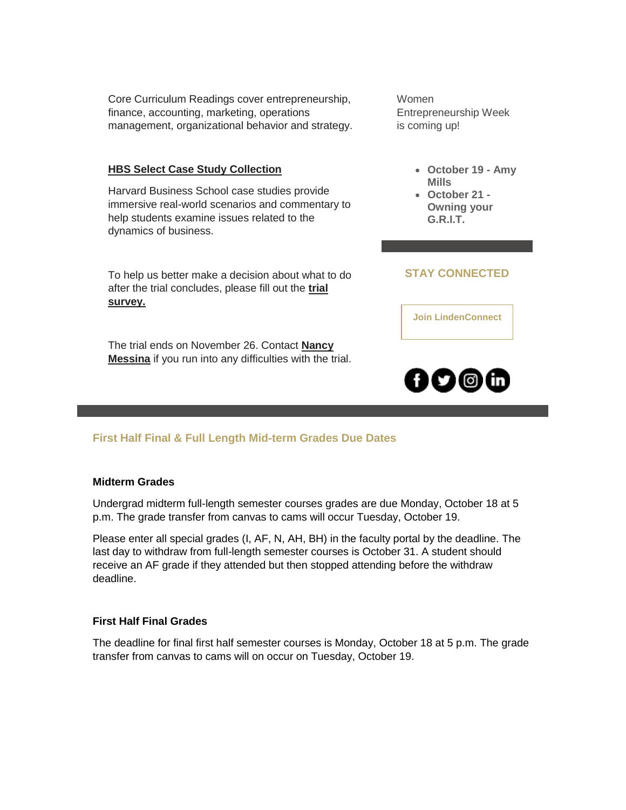Core Curriculum Readings cover entrepreneurship, finance, accounting, marketing, operations management, organizational behavior and strategy.

#### **[HBS Select Case Study Collection](https://nam04.safelinks.protection.outlook.com/?url=https%3A%2F%2Fr20.rs6.net%2Ftn.jsp%3Ff%3D0015Hz35s29no5pbS_9ak6oXEAJxwelnHkKEAAEyVAz1m13oanuJCsBq0tbbA-wSqf9mu1alQECeQjg_QtswirWkWqXxtn0z2CXw1ZS1D4jorIR1T7lOAQcG87XtmH0hHvlOifTjmjLzxcov4sF7JksC2ICNTiOHc8jCDIDT_pOy36cpdlqyKgDPAPkb7q0oBqHaFYzXaUhMLv1DBeLlPnuZ2uE7Jcb7lyVfZC8x-3qXJf5lO2LLD3ozwc7T1IWb-4S3Lijbb2FMgYe4DsG0MtB6SwHXfyeMtTKOReMMte1ekBegYqn4uW9JdaQs5G8zybq%26c%3Dlkko3083hT-gixf9FVrnYg97Sjh1UQBB5dmYmh21Ip3I8S_Gjsqj-g%3D%3D%26ch%3D4Tvumugcj6yGcvn6_QMltxCPEajvsTrIcvv5vJHHdC26cpMX7ydWAg%3D%3D&data=04%7C01%7Cphuffman%40lindenwood.edu%7C5cf1966306824334c68308d98e55fd3a%7C3d72f08e540a4c68905d9e69c4d9c61e%7C1%7C0%7C637697322246278601%7CUnknown%7CTWFpbGZsb3d8eyJWIjoiMC4wLjAwMDAiLCJQIjoiV2luMzIiLCJBTiI6Ik1haWwiLCJXVCI6Mn0%3D%7C1000&sdata=EtTuX9J21ErYHJAg7rVXu1gSOCWSWWG4jflFy9CitX4%3D&reserved=0)**

Harvard Business School case studies provide immersive real-world scenarios and commentary to help students examine issues related to the dynamics of business.

To help us better make a decision about what to do after the trial concludes, please fill out the **[trial](https://nam04.safelinks.protection.outlook.com/?url=https%3A%2F%2Fr20.rs6.net%2Ftn.jsp%3Ff%3D0015Hz35s29no5pbS_9ak6oXEAJxwelnHkKEAAEyVAz1m13oanuJCsBq0tbbA-wSqf9rghHGZfzrjg5SXqGKyRi6IgAoDFjy5tMELOhEkbWw9bBHs8PHIV4Lb7nc7NoCDGbGm6uGkoL3pM6FJEaL42ae8dp9pf_Xgql2nmpsN6QMAguCakFIhQKj79ZIQ6Ewx473NdpYnbPze0%3D%26c%3Dlkko3083hT-gixf9FVrnYg97Sjh1UQBB5dmYmh21Ip3I8S_Gjsqj-g%3D%3D%26ch%3D4Tvumugcj6yGcvn6_QMltxCPEajvsTrIcvv5vJHHdC26cpMX7ydWAg%3D%3D&data=04%7C01%7Cphuffman%40lindenwood.edu%7C5cf1966306824334c68308d98e55fd3a%7C3d72f08e540a4c68905d9e69c4d9c61e%7C1%7C0%7C637697322246288552%7CUnknown%7CTWFpbGZsb3d8eyJWIjoiMC4wLjAwMDAiLCJQIjoiV2luMzIiLCJBTiI6Ik1haWwiLCJXVCI6Mn0%3D%7C1000&sdata=Eikgo85adKEXeniWV8eiaQbXM4LnvT%2BBLkCQ%2BAUWG8Q%3D&reserved=0)  [survey.](https://nam04.safelinks.protection.outlook.com/?url=https%3A%2F%2Fr20.rs6.net%2Ftn.jsp%3Ff%3D0015Hz35s29no5pbS_9ak6oXEAJxwelnHkKEAAEyVAz1m13oanuJCsBq0tbbA-wSqf9rghHGZfzrjg5SXqGKyRi6IgAoDFjy5tMELOhEkbWw9bBHs8PHIV4Lb7nc7NoCDGbGm6uGkoL3pM6FJEaL42ae8dp9pf_Xgql2nmpsN6QMAguCakFIhQKj79ZIQ6Ewx473NdpYnbPze0%3D%26c%3Dlkko3083hT-gixf9FVrnYg97Sjh1UQBB5dmYmh21Ip3I8S_Gjsqj-g%3D%3D%26ch%3D4Tvumugcj6yGcvn6_QMltxCPEajvsTrIcvv5vJHHdC26cpMX7ydWAg%3D%3D&data=04%7C01%7Cphuffman%40lindenwood.edu%7C5cf1966306824334c68308d98e55fd3a%7C3d72f08e540a4c68905d9e69c4d9c61e%7C1%7C0%7C637697322246288552%7CUnknown%7CTWFpbGZsb3d8eyJWIjoiMC4wLjAwMDAiLCJQIjoiV2luMzIiLCJBTiI6Ik1haWwiLCJXVCI6Mn0%3D%7C1000&sdata=Eikgo85adKEXeniWV8eiaQbXM4LnvT%2BBLkCQ%2BAUWG8Q%3D&reserved=0)**

The trial ends on November 26. Contact **[Nancy](mailto:nmessina@lindenwood.edu)  [Messina](mailto:nmessina@lindenwood.edu)** if you run into any difficulties with the trial. Women Entrepreneurship Week is coming up!

- **October 19 - Amy Mills**
- **October 21 - Owning your G.R.I.T.**

### **STAY CONNECTED**

**[Join LindenConnect](https://nam04.safelinks.protection.outlook.com/?url=https%3A%2F%2Fr20.rs6.net%2Ftn.jsp%3Ff%3D0015Hz35s29no5pbS_9ak6oXEAJxwelnHkKEAAEyVAz1m13oanuJCsBq627q_MC-QVU1yL0quXT5wR5VNFUN8L7j7FUgwUBUr1qggio5i2mPEcCirJnljzqOqDzzZZY8HoTe9N9DXjlePvNWtX_Zg4gv9dBwn_VSW2vgTqSj0maEOs%3D%26c%3Dlkko3083hT-gixf9FVrnYg97Sjh1UQBB5dmYmh21Ip3I8S_Gjsqj-g%3D%3D%26ch%3D4Tvumugcj6yGcvn6_QMltxCPEajvsTrIcvv5vJHHdC26cpMX7ydWAg%3D%3D&data=04%7C01%7Cphuffman%40lindenwood.edu%7C5cf1966306824334c68308d98e55fd3a%7C3d72f08e540a4c68905d9e69c4d9c61e%7C1%7C0%7C637697322246298510%7CUnknown%7CTWFpbGZsb3d8eyJWIjoiMC4wLjAwMDAiLCJQIjoiV2luMzIiLCJBTiI6Ik1haWwiLCJXVCI6Mn0%3D%7C1000&sdata=wHe9RZz9D0sVYOICnryLUpl1KIVJbmI0tFXfT%2FSpiz0%3D&reserved=0)**



#### **First Half Final & Full Length Mid-term Grades Due Dates**

#### **Midterm Grades**

Undergrad midterm full-length semester courses grades are due Monday, October 18 at 5 p.m. The grade transfer from canvas to cams will occur Tuesday, October 19.

Please enter all special grades (I, AF, N, AH, BH) in the faculty portal by the deadline. The last day to withdraw from full-length semester courses is October 31. A student should receive an AF grade if they attended but then stopped attending before the withdraw deadline.

#### **First Half Final Grades**

The deadline for final first half semester courses is Monday, October 18 at 5 p.m. The grade transfer from canvas to cams will on occur on Tuesday, October 19.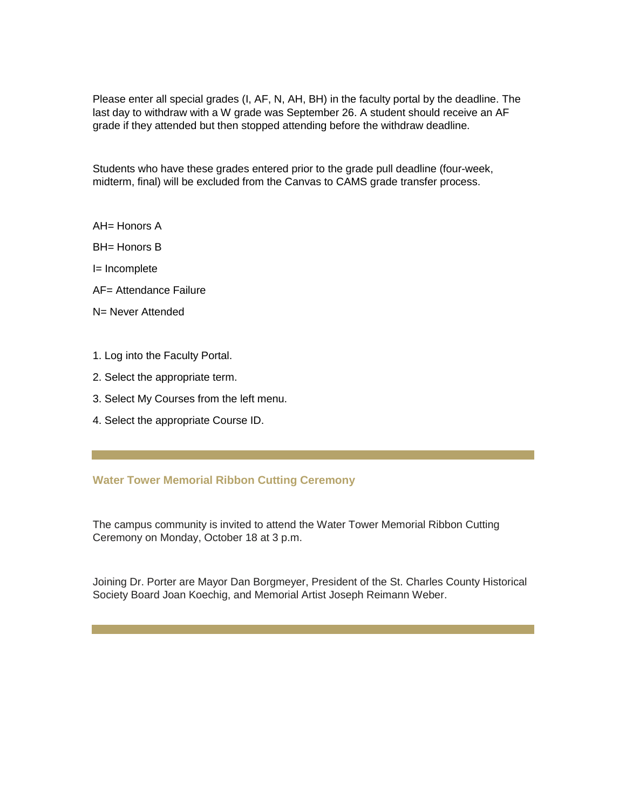Please enter all special grades (I, AF, N, AH, BH) in the faculty portal by the deadline. The last day to withdraw with a W grade was September 26. A student should receive an AF grade if they attended but then stopped attending before the withdraw deadline.

Students who have these grades entered prior to the grade pull deadline (four-week, midterm, final) will be excluded from the Canvas to CAMS grade transfer process.

AH= Honors A

BH= Honors B

I= Incomplete

AF= Attendance Failure

N= Never Attended

- 1. Log into the Faculty Portal.
- 2. Select the appropriate term.
- 3. Select My Courses from the left menu.
- 4. Select the appropriate Course ID.

#### **Water Tower Memorial Ribbon Cutting Ceremony**

The campus community is invited to attend the Water Tower Memorial Ribbon Cutting Ceremony on Monday, October 18 at 3 p.m.

Joining Dr. Porter are Mayor Dan Borgmeyer, President of the St. Charles County Historical Society Board Joan Koechig, and Memorial Artist Joseph Reimann Weber.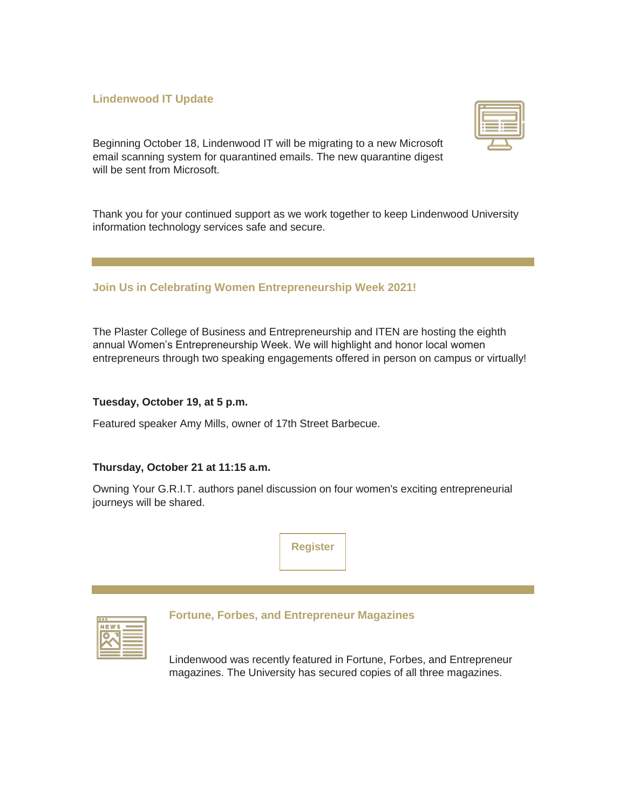#### **Lindenwood IT Update**

Beginning October 18, Lindenwood IT will be migrating to a new Microsoft email scanning system for quarantined emails. The new quarantine digest will be sent from Microsoft.

Thank you for your continued support as we work together to keep Lindenwood University information technology services safe and secure.

#### **Join Us in Celebrating Women Entrepreneurship Week 2021!**

The Plaster College of Business and Entrepreneurship and ITEN are hosting the eighth annual Women's Entrepreneurship Week. We will highlight and honor local women entrepreneurs through two speaking engagements offered in person on campus or virtually!

#### **Tuesday, October 19, at 5 p.m.**

Featured speaker Amy Mills, owner of 17th Street Barbecue.

#### **Thursday, October 21 at 11:15 a.m.**

Owning Your G.R.I.T. authors panel discussion on four women's exciting entrepreneurial journeys will be shared.



| $\mathbf{r}$<br>œ |  |
|-------------------|--|
|                   |  |

#### **Fortune, Forbes, and Entrepreneur Magazines**

Lindenwood was recently featured in Fortune, Forbes, and Entrepreneur magazines. The University has secured copies of all three magazines.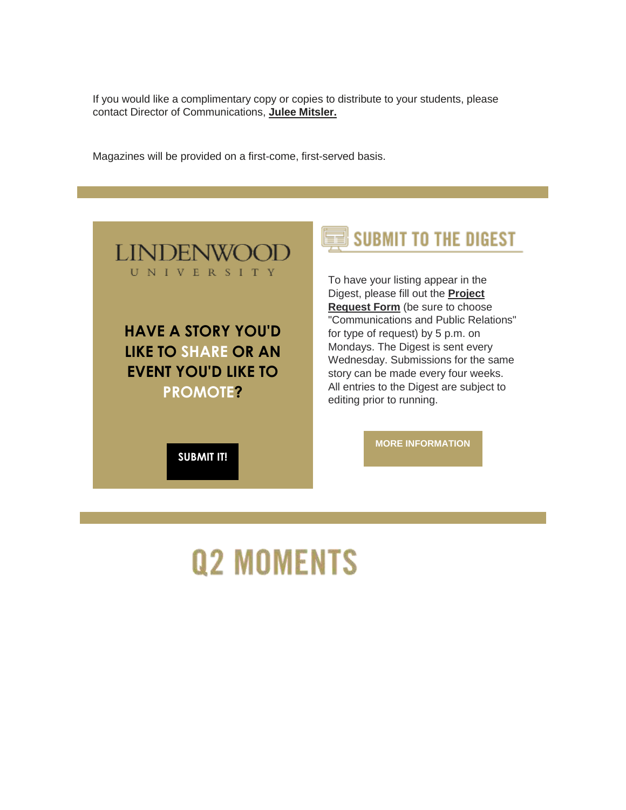If you would like a complimentary copy or copies to distribute to your students, please contact Director of Communications, **[Julee Mitsler.](mailto:jmitsler@lindenwood.edu)**

Magazines will be provided on a first-come, first-served basis.



**HAVE A STORY YOU'D LIKE TO SHARE OR AN EVENT YOU'D LIKE TO PROMOTE?** 

**[SUBMIT IT!](https://nam04.safelinks.protection.outlook.com/?url=https%3A%2F%2Fr20.rs6.net%2Ftn.jsp%3Ff%3D0015Hz35s29no5pbS_9ak6oXEAJxwelnHkKEAAEyVAz1m13oanuJCsBq87sWr8Zd1Fg1Mwmoxx6xAhNe9ucjymHXxqHUqsdMYjotvuOvT6Is364OR-mgaLfhzuqEtsa6TgaXz5KtsZKm-OJQhKD8xnJC_TXjUDQ3Kq2WUbLZt_pHIDnXClieRKV7SBIfbAa5nQYKKAamR9hFY5MY3c7AHDrZ_MOqlx5fU9A%26c%3Dlkko3083hT-gixf9FVrnYg97Sjh1UQBB5dmYmh21Ip3I8S_Gjsqj-g%3D%3D%26ch%3D4Tvumugcj6yGcvn6_QMltxCPEajvsTrIcvv5vJHHdC26cpMX7ydWAg%3D%3D&data=04%7C01%7Cphuffman%40lindenwood.edu%7C5cf1966306824334c68308d98e55fd3a%7C3d72f08e540a4c68905d9e69c4d9c61e%7C1%7C0%7C637697322246338334%7CUnknown%7CTWFpbGZsb3d8eyJWIjoiMC4wLjAwMDAiLCJQIjoiV2luMzIiLCJBTiI6Ik1haWwiLCJXVCI6Mn0%3D%7C1000&sdata=Kfsccc9UHVPdmrBBWeabDtOflDas2sVsO9XsTQoWj2k%3D&reserved=0)**

# **SUBMIT TO THE DIGEST**

To have your listing appear in the Digest, please fill out the **[Project](https://nam04.safelinks.protection.outlook.com/?url=https%3A%2F%2Fr20.rs6.net%2Ftn.jsp%3Ff%3D0015Hz35s29no5pbS_9ak6oXEAJxwelnHkKEAAEyVAz1m13oanuJCsBq87sWr8Zd1Fg1Mwmoxx6xAhNe9ucjymHXxqHUqsdMYjotvuOvT6Is364OR-mgaLfhzuqEtsa6TgaXz5KtsZKm-OJQhKD8xnJC_TXjUDQ3Kq2WUbLZt_pHIDnXClieRKV7SBIfbAa5nQYKKAamR9hFY5MY3c7AHDrZ_MOqlx5fU9A%26c%3Dlkko3083hT-gixf9FVrnYg97Sjh1UQBB5dmYmh21Ip3I8S_Gjsqj-g%3D%3D%26ch%3D4Tvumugcj6yGcvn6_QMltxCPEajvsTrIcvv5vJHHdC26cpMX7ydWAg%3D%3D&data=04%7C01%7Cphuffman%40lindenwood.edu%7C5cf1966306824334c68308d98e55fd3a%7C3d72f08e540a4c68905d9e69c4d9c61e%7C1%7C0%7C637697322246338334%7CUnknown%7CTWFpbGZsb3d8eyJWIjoiMC4wLjAwMDAiLCJQIjoiV2luMzIiLCJBTiI6Ik1haWwiLCJXVCI6Mn0%3D%7C1000&sdata=Kfsccc9UHVPdmrBBWeabDtOflDas2sVsO9XsTQoWj2k%3D&reserved=0)  [Request Form](https://nam04.safelinks.protection.outlook.com/?url=https%3A%2F%2Fr20.rs6.net%2Ftn.jsp%3Ff%3D0015Hz35s29no5pbS_9ak6oXEAJxwelnHkKEAAEyVAz1m13oanuJCsBq87sWr8Zd1Fg1Mwmoxx6xAhNe9ucjymHXxqHUqsdMYjotvuOvT6Is364OR-mgaLfhzuqEtsa6TgaXz5KtsZKm-OJQhKD8xnJC_TXjUDQ3Kq2WUbLZt_pHIDnXClieRKV7SBIfbAa5nQYKKAamR9hFY5MY3c7AHDrZ_MOqlx5fU9A%26c%3Dlkko3083hT-gixf9FVrnYg97Sjh1UQBB5dmYmh21Ip3I8S_Gjsqj-g%3D%3D%26ch%3D4Tvumugcj6yGcvn6_QMltxCPEajvsTrIcvv5vJHHdC26cpMX7ydWAg%3D%3D&data=04%7C01%7Cphuffman%40lindenwood.edu%7C5cf1966306824334c68308d98e55fd3a%7C3d72f08e540a4c68905d9e69c4d9c61e%7C1%7C0%7C637697322246338334%7CUnknown%7CTWFpbGZsb3d8eyJWIjoiMC4wLjAwMDAiLCJQIjoiV2luMzIiLCJBTiI6Ik1haWwiLCJXVCI6Mn0%3D%7C1000&sdata=Kfsccc9UHVPdmrBBWeabDtOflDas2sVsO9XsTQoWj2k%3D&reserved=0)** (be sure to choose "Communications and Public Relations" for type of request) by 5 p.m. on Mondays. The Digest is sent every Wednesday. Submissions for the same story can be made every four weeks. All entries to the Digest are subject to editing prior to running.

**[MORE INFORMATION](https://nam04.safelinks.protection.outlook.com/?url=https%3A%2F%2Fr20.rs6.net%2Ftn.jsp%3Ff%3D0015Hz35s29no5pbS_9ak6oXEAJxwelnHkKEAAEyVAz1m13oanuJCsBq_TjcDGK52ZkPysDBbA_M2jNDfrTGM3kDgDWfwWg9Gbp2uaQ9-3HaWGU3UEhC5keft6H3n7Bo5HvpiIMGj9HEobn6MbOZkcz0A3TNiP2b31--UlnKMNmjl-x8v52A7W9fUhHzAGltu1VJwx0gXQY6ESV2_XMEQXldJTbnwvKuPduiwnUivFwIOrSivKoyXr2yQ%3D%3D%26c%3Dlkko3083hT-gixf9FVrnYg97Sjh1UQBB5dmYmh21Ip3I8S_Gjsqj-g%3D%3D%26ch%3D4Tvumugcj6yGcvn6_QMltxCPEajvsTrIcvv5vJHHdC26cpMX7ydWAg%3D%3D&data=04%7C01%7Cphuffman%40lindenwood.edu%7C5cf1966306824334c68308d98e55fd3a%7C3d72f08e540a4c68905d9e69c4d9c61e%7C1%7C0%7C637697322246348290%7CUnknown%7CTWFpbGZsb3d8eyJWIjoiMC4wLjAwMDAiLCJQIjoiV2luMzIiLCJBTiI6Ik1haWwiLCJXVCI6Mn0%3D%7C1000&sdata=yRgNGOgCbqmQARWFx64iC9aeTd8qmVVNakXZfdNMn0k%3D&reserved=0)**

# **Q2 MOMENTS**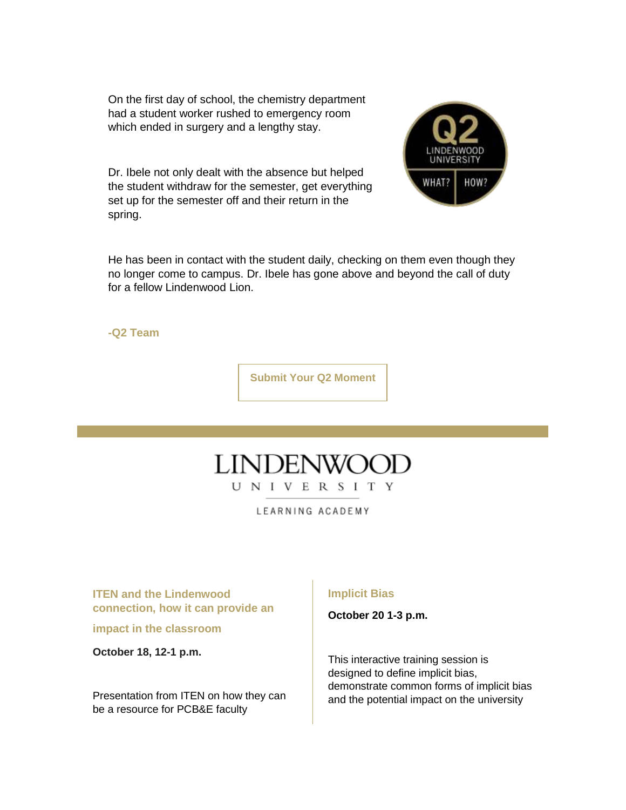On the first day of school, the chemistry department had a student worker rushed to emergency room which ended in surgery and a lengthy stay.

Dr. Ibele not only dealt with the absence but helped the student withdraw for the semester, get everything set up for the semester off and their return in the spring.



He has been in contact with the student daily, checking on them even though they no longer come to campus. Dr. Ibele has gone above and beyond the call of duty for a fellow Lindenwood Lion.

**-Q2 Team**

**[Submit Your Q2 Moment](https://nam04.safelinks.protection.outlook.com/?url=https%3A%2F%2Fr20.rs6.net%2Ftn.jsp%3Ff%3D0015Hz35s29no5pbS_9ak6oXEAJxwelnHkKEAAEyVAz1m13oanuJCsBq_TjcDGK52Zk-WYdakVJ1IBXcjCgijVCpQGo1bRt9xa23HBPvl5GJScqzVQEGOtiAJW03e0TRXvLJzSivIGpMAnvKhHKMF7q3VX-ECNMPUFmuw8CFZFQUaiIVUWCH3c-WOGpxFr9Hy47Sxq32KHKuzsFjJEsmbCnjpC-ldrEn9oOB2J5I5X7waugjapG872H0jjKDy66XeksqYw6Kwl2gHF4Ejk5y_-4Ag%3D%3D%26c%3Dlkko3083hT-gixf9FVrnYg97Sjh1UQBB5dmYmh21Ip3I8S_Gjsqj-g%3D%3D%26ch%3D4Tvumugcj6yGcvn6_QMltxCPEajvsTrIcvv5vJHHdC26cpMX7ydWAg%3D%3D&data=04%7C01%7Cphuffman%40lindenwood.edu%7C5cf1966306824334c68308d98e55fd3a%7C3d72f08e540a4c68905d9e69c4d9c61e%7C1%7C0%7C637697322246358248%7CUnknown%7CTWFpbGZsb3d8eyJWIjoiMC4wLjAwMDAiLCJQIjoiV2luMzIiLCJBTiI6Ik1haWwiLCJXVCI6Mn0%3D%7C1000&sdata=yrNVO23sMpRibq4yNS%2F1bEwqi9b6LCWEYcoDWadTN6s%3D&reserved=0)**



LEARNING ACADEMY

**ITEN and the Lindenwood connection, how it can provide an** 

**impact in the classroom**

**October 18, 12-1 p.m.**

Presentation from ITEN on how they can be a resource for PCB&E faculty

#### **Implicit Bias**

**October 20 1-3 p.m.**

This interactive training session is designed to define implicit bias, demonstrate common forms of implicit bias and the potential impact on the university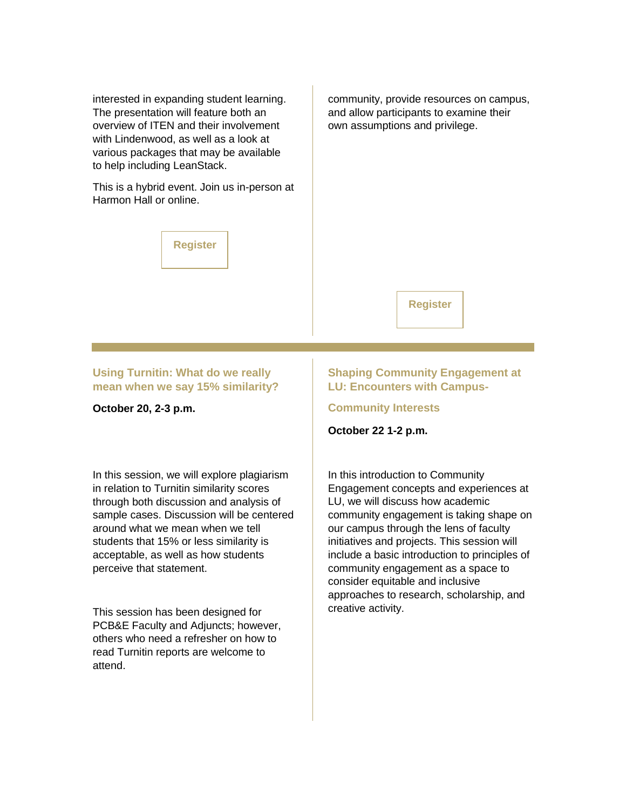interested in expanding student learning. The presentation will feature both an overview of ITEN and their involvement with Lindenwood, as well as a look at various packages that may be available to help including LeanStack.

This is a hybrid event. Join us in-person at Harmon Hall or online.

**[Register](https://nam04.safelinks.protection.outlook.com/?url=https%3A%2F%2Fr20.rs6.net%2Ftn.jsp%3Ff%3D0015Hz35s29no5pbS_9ak6oXEAJxwelnHkKEAAEyVAz1m13oanuJCsBq0tbbA-wSqf9WLeADhQB-eAL1I3nzDaUYkqmYx-vswPdpZT2K-2JnBKPmvWL6HNBAChobuPX-93B5Ha1TfSLEXnCLUooh8-_ws6-wmK24cKq%26c%3Dlkko3083hT-gixf9FVrnYg97Sjh1UQBB5dmYmh21Ip3I8S_Gjsqj-g%3D%3D%26ch%3D4Tvumugcj6yGcvn6_QMltxCPEajvsTrIcvv5vJHHdC26cpMX7ydWAg%3D%3D&data=04%7C01%7Cphuffman%40lindenwood.edu%7C5cf1966306824334c68308d98e55fd3a%7C3d72f08e540a4c68905d9e69c4d9c61e%7C1%7C0%7C637697322246358248%7CUnknown%7CTWFpbGZsb3d8eyJWIjoiMC4wLjAwMDAiLCJQIjoiV2luMzIiLCJBTiI6Ik1haWwiLCJXVCI6Mn0%3D%7C1000&sdata=0EgEgr0IK47Eqc4Y2%2BXq6zUv4qot5V9LmievbpvbFiA%3D&reserved=0)**

community, provide resources on campus, and allow participants to examine their own assumptions and privilege.

**[Register](https://nam04.safelinks.protection.outlook.com/?url=https%3A%2F%2Fr20.rs6.net%2Ftn.jsp%3Ff%3D0015Hz35s29no5pbS_9ak6oXEAJxwelnHkKEAAEyVAz1m13oanuJCsBq0aA_YiXVhE1Kn19m1iZKbkIszIXiCsGX4ct-Qt5rDUkWPs9CTAfMtJkYrfi9nqh33E9ADd1o8_kGRG6_qcRTM1ICljplgaDa52JKuWw6FXum5b1BSt_l5g%3D%26c%3Dlkko3083hT-gixf9FVrnYg97Sjh1UQBB5dmYmh21Ip3I8S_Gjsqj-g%3D%3D%26ch%3D4Tvumugcj6yGcvn6_QMltxCPEajvsTrIcvv5vJHHdC26cpMX7ydWAg%3D%3D&data=04%7C01%7Cphuffman%40lindenwood.edu%7C5cf1966306824334c68308d98e55fd3a%7C3d72f08e540a4c68905d9e69c4d9c61e%7C1%7C0%7C637697322246368204%7CUnknown%7CTWFpbGZsb3d8eyJWIjoiMC4wLjAwMDAiLCJQIjoiV2luMzIiLCJBTiI6Ik1haWwiLCJXVCI6Mn0%3D%7C1000&sdata=efL2TmnaI61mVk34ZbmDIHdYCP%2Bml6s94vvvmkggjOc%3D&reserved=0)**

**Using Turnitin: What do we really mean when we say 15% similarity?** 

**October 20, 2-3 p.m.**

In this session, we will explore plagiarism in relation to Turnitin similarity scores through both discussion and analysis of sample cases. Discussion will be centered around what we mean when we tell students that 15% or less similarity is acceptable, as well as how students perceive that statement.

This session has been designed for PCB&E Faculty and Adjuncts; however, others who need a refresher on how to read Turnitin reports are welcome to attend.

#### **Shaping Community Engagement at LU: Encounters with Campus-**

**Community Interests**

**October 22 1-2 p.m.**

In this introduction to Community Engagement concepts and experiences at LU, we will discuss how academic community engagement is taking shape on our campus through the lens of faculty initiatives and projects. This session will include a basic introduction to principles of community engagement as a space to consider equitable and inclusive approaches to research, scholarship, and creative activity.